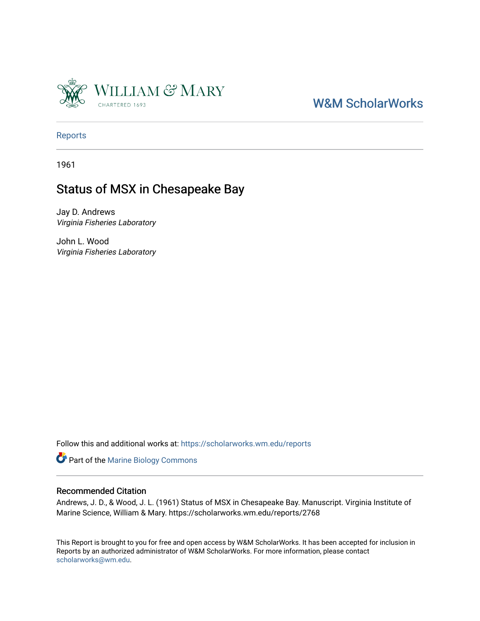

# [W&M ScholarWorks](https://scholarworks.wm.edu/)

[Reports](https://scholarworks.wm.edu/reports)

1961

# Status of MSX in Chesapeake Bay

Jay D. Andrews Virginia Fisheries Laboratory

John L. Wood Virginia Fisheries Laboratory

Follow this and additional works at: [https://scholarworks.wm.edu/reports](https://scholarworks.wm.edu/reports?utm_source=scholarworks.wm.edu%2Freports%2F2768&utm_medium=PDF&utm_campaign=PDFCoverPages)

Part of the [Marine Biology Commons](https://network.bepress.com/hgg/discipline/1126?utm_source=scholarworks.wm.edu%2Freports%2F2768&utm_medium=PDF&utm_campaign=PDFCoverPages) 

## Recommended Citation

Andrews, J. D., & Wood, J. L. (1961) Status of MSX in Chesapeake Bay. Manuscript. Virginia Institute of Marine Science, William & Mary. https://scholarworks.wm.edu/reports/2768

This Report is brought to you for free and open access by W&M ScholarWorks. It has been accepted for inclusion in Reports by an authorized administrator of W&M ScholarWorks. For more information, please contact [scholarworks@wm.edu.](mailto:scholarworks@wm.edu)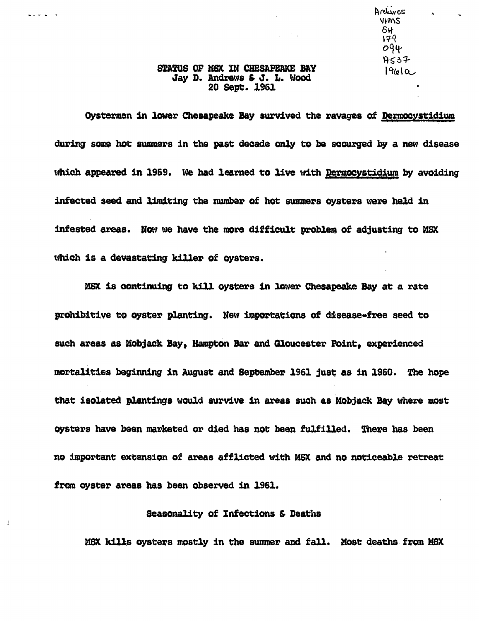Archives  $VVMS$ 6H-  $179$  $Oq\mu$  $H<sub>S</sub>37$  $1$ 96 $\alpha$ 

 $\mathbf{a}$ 

### STATUS OF MSX IN CHESAPEAKE BAY Jay D. Andrews & J. L. Wood 20 Sept. 1961

. . . . .

 $\mathbf{I}$ 

Oyatermen in lower Chesapeake Bay survived the ravages of Dermocyatidium during some hot summers in the past decade only to be scourged by a new disease which appeared in 1969. We had learned to live with Dermocystidium by avoiding infected seed and limiting the number of hot summers oysters were held in :infested areas. How we have the more difficult problen) of adjusting to MSX which is a devastating killer of oysters.

MSX is continuing to kill oysters in lower Chesapeake Bay at a rate prohibitive to oyster planting. New importations of disease=free seed to such areas as Mobjack Bay, Hampton Bar and Gloucester Point, experienced mortalities beginning in August and September 1961 just as in 1960. The hope that isolated plantings would survive in areas such as Mobjack Bay where most oysters have been marketed or died has not been fulfilled. There has been no important extension of areas afflicted with MSX and no noticeable retreat from oyster areas has been observed in 1961.

### Seasonality of Infections & Deaths

MSX kills ovsters mostly in the summer and fall. Most deaths from MSX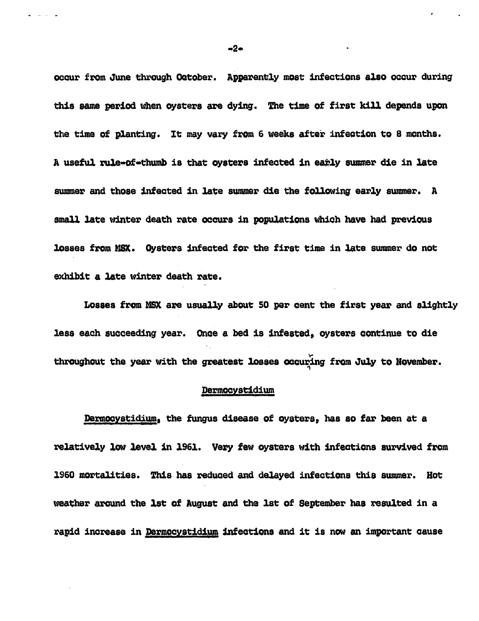occur from June through October. Apparently most infections also occur during this same period when oysters are dying. The time of first kill depends upon the time of planting. It may vary from 6 weeks after infection to 8 months. A useful rule-of-thumb is that oysters infected in early summer die in late summer and those infected in late summer die the following early summer. A small late winter death rate occurs in populations which have had previous losses from MSX. Oysters infected for the first time in late summer do not exhibit a late winter death rate.

Losses from MSX are usually about 50 per cent the first year and slightly less each succeeding year. Once a bed is infested, oysters continue to die throughout the year with the greatest losses occuring from July to November.

#### Dermocystidium

Dermocystidium, the fungus disease of oysters, has so far been at a relatively low level in 1961. Very few oysters with infections survived from 1960 mortalities. This has reduced and delayed infections this summer. Hot weather around the 1st of August and the 1st of September has resulted in a rapid increase in Dermocystidium infections and it is now an important cause

 $-2-$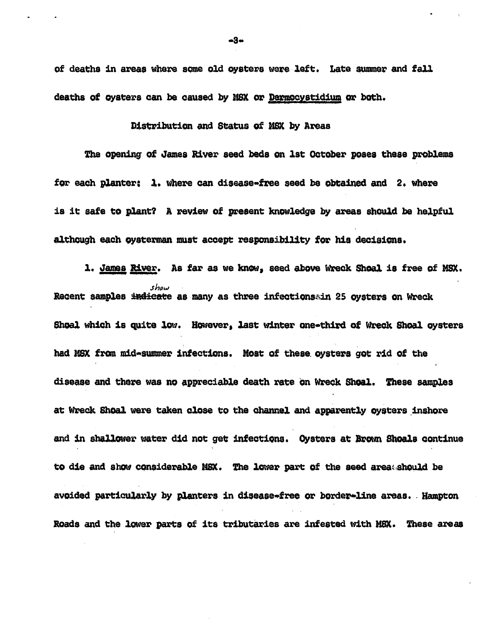of deaths in areas where some old oysters were left. Late summer and fall deaths of oysters can be caused by MSX or Dermocystidium or both.

## Distribution and Status of MSX by Areas

the opening of James River seed beds on lst October poaea these problems for each planter: 1. where can disease-free seed be obtained and 2. where is it safe to plant? A review of present knowledge by areas should be helpful although each oysterman must accept responsibility for his decisions.

1. James River. As far as we know, seed above Wreck Shoal is free of MSX. *shaw*  Recent samples indicate as many as three infectionssin 25 oysters on Wreck. Shoal which is quite low. However. last winter one-third of Wreck Shoal oysters had MSX from mid-summer infections. Most of these oysters got rid of the disease and there was no appreciable death rate on Wreck Shoal. These samples at Wreck Shoal were taken close to the channel and apparently oysters inshore and in shallower water did not get infections. Oysters at Brown Shoals continue to die and show considerable MSX. The lower part of the seed areatshould be avoided particularly by planters in disease-free or border-line areas. Hampton Roads and the lower parts of its tributaries are infested with MSX. These areas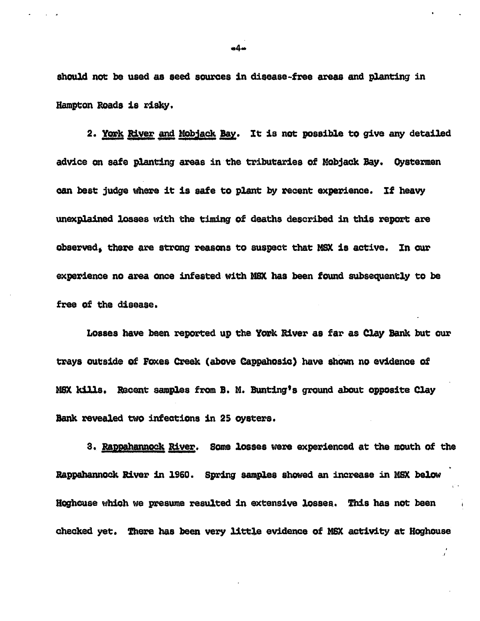should not be used as seed sources in disease-free areas and planting in Hampton Roads is risky.

2. York River and Mobjack Bay. It is not possible to give any detailed advice on safe planting areas in the tributaries of Mobjaok Bay. Oystemen can best judge where it is safe to plant by recent experience. If heavy unexplained losses with the timing of deaths described in this report are observed, there are strong reasons to suspect that MSX is active. In our experience no area once infested with MSX has been found subsequently to be free of the disease.

Losses have been reported up the York River as far as Clay Bank but our trays outside of Foxes Creek (above Cappahosic) have shown no evidence of MSX kills. Recent samples from B. M. Bunting's ground about opposite Clay Bank revealed two infections in 25 oysters.

3. Rappahannock River. Some losses were experienced at the mouth of the Rappahannock River in 1960. Spring samples showed an increase in MSX below Hoghouse which we presume resulted in extensive losses. This has not been checked yet. There has been very little evidence of MSX activity at Hoghouse

 $44-$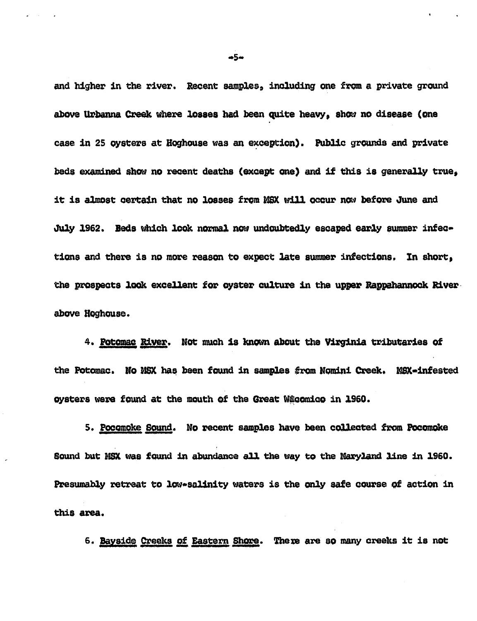and higher in the river. Recent samples, including one from a private ground above Urbanna Creek where losses had been quite heavy, show no disease (one case in 25 oysters at Hoghouse was an exception). Public grounds and private beds examined show no recent deaths (except one) and if this is generally true, it is almost certain that no losses from MSX will occur now before June and July 1962. Beds which look normal now undoubtedly escaped early summer infections and there is no more reason to expect late summer infections. In short, the prospects look excellent for oyster culture in the upper Rappahannock River. above Hoghouse.

4. Potomac River. Not much is known about the Virginia tributaries of the Potomac. No MSX has been found in samples from Nomini Creek. MSX-infested oysters were found at the mouth of the Great Wikcomico in 1960.

5. Pocomoke Sound. No recent samples have been collected from Pocomoke Sound but MSX was found in abundance all the way to the Maryland line in 1960. Presumably retreat to low-salinity waters is the only safe course of action in this area.

6. Bayside Creeks of Eastern Shore. There are so many creeks it is not

 $+5+$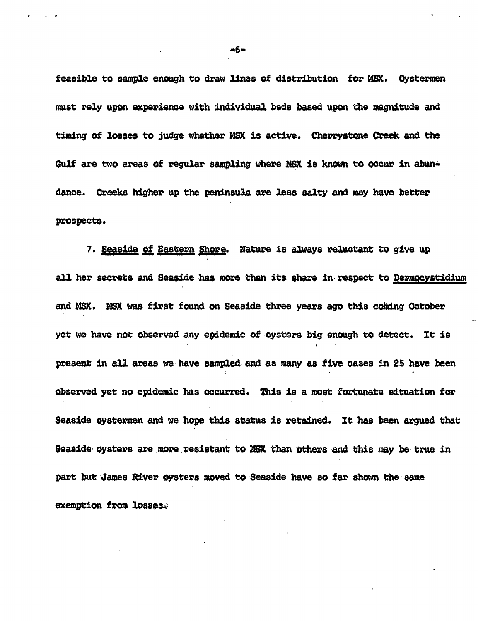feasible to sample enough to draw lines of distribution for MSX. Oystermen must rely upon experience with individual beds based upon the magnitude and timing of losses to judge whether MSX is active. Cherrystone Creek and the Gulf are two areas of regular sampling where NSX is known to occur in abundance. Creeks higher up the peninsula are less salty and may have better prospects.

7. Seaside of Eastern Shore. Nature is always reluctant to give up all her secrets and Seaside has more than its share in respect to Dermocystidium and MSX. MSX was first found on Seaside three years ago this coming October yet we have not observed any epidemic of oysters big enough to detect. It is present in all areas we have sampled and as many as five cases in 25 have been ' .. observed yet no epidemic has occurred. This is a most fortunate situation for Seaside oystermen and we hope this status is retained. It has been argued that Seaside oysters are more resistant to MSX than others and this may be true in part but James River oysters moved to Seaside have so far shown the same exemption from losses.

 $+6-$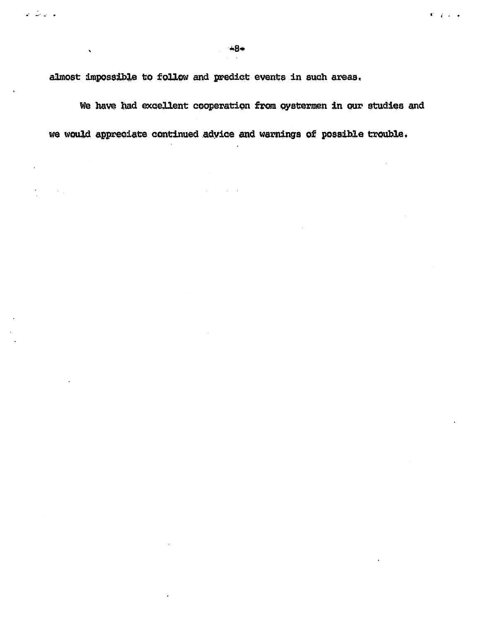almost impossible to follow and predict events in such areas.

با بات ب

We have had excellent cooperation from oystermen in our studies and we would appreciate continued advice and warnings of possible trouble.